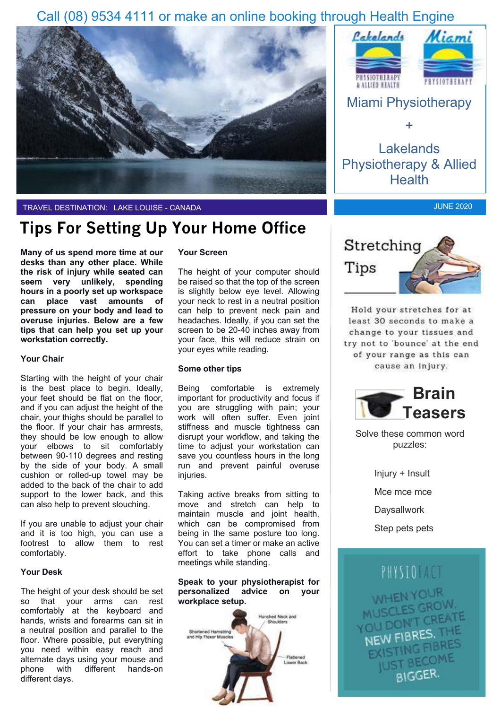## Call (08) 9534 4111 or make an online booking through Health Engine





# **Tips For Setting Up Your Home Office**

**Many of us spend more time at our desks than any other place. While the risk of injury while seated can seem very unlikely, spending hours in a poorly set up workspace can place vast amounts of pressure on your body and lead to overuse injuries. Below are a few tips that can help you set up your workstation correctly.**

#### **Your Chair**

Starting with the height of your chair is the best place to begin. Ideally, your feet should be flat on the floor, and if you can adjust the height of the chair, your thighs should be parallel to the floor. If your chair has armrests, they should be low enough to allow your elbows to sit comfortably between 90-110 degrees and resting by the side of your body. A small cushion or rolled-up towel may be added to the back of the chair to add support to the lower back, and this can also help to prevent slouching.

If you are unable to adjust your chair and it is too high, you can use a footrest to allow them to rest comfortably.

#### **Your Desk**

The height of your desk should be set so that your arms can rest comfortably at the keyboard and hands, wrists and forearms can sit in a neutral position and parallel to the floor. Where possible, put everything you need within easy reach and alternate days using your mouse and<br>phone with different hands-on phone with different hands-on different days.

### **Your Screen**

The height of your computer should be raised so that the top of the screen is slightly below eye level. Allowing your neck to rest in a neutral position can help to prevent neck pain and headaches. Ideally, if you can set the screen to be 20-40 inches away from your face, this will reduce strain on your eyes while reading.

#### **Some other tips**

Being comfortable is extremely important for productivity and focus if you are struggling with pain; your work will often suffer. Even joint stiffness and muscle tightness can disrupt your workflow, and taking the time to adjust your workstation can save you countless hours in the long run and prevent painful overuse injuries.

Taking active breaks from sitting to move and stretch can help to maintain muscle and joint health, which can be compromised from being in the same posture too long. You can set a timer or make an active effort to take phone calls and meetings while standing.

**Speak to your physiotherapist for personalized advice on your workplace setup.** 





Lakelands Physiotherapy & Allied **Health** 

JUNE 2020



Hold your stretches for at least 30 seconds to make a change to your tissues and try not to 'bounce' at the end of your range as this can cause an injury.



Solve these common word puzzles:

> Injury + Insult Mce mce mce **Daysallwork** Step pets pets



NEW FIBRES. EXISTING FIB **STINGCOME BIGGER**